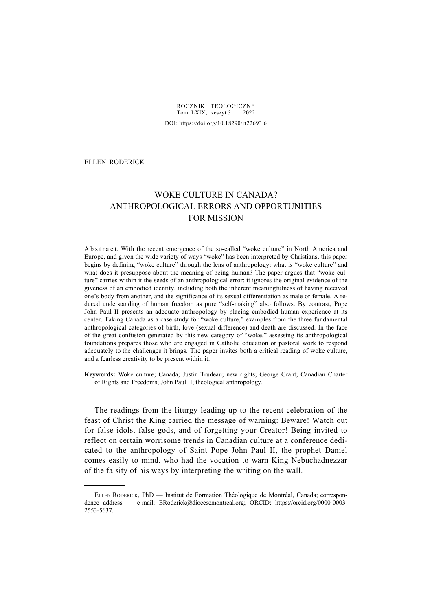ROCZNIKI TEOLOGICZNE Tom LXIX, zeszyt  $3 - 2022$ DOI: https://doi.org/10.18290/rt22693.6

# ELLEN RODERICK\*

-

# WOKE CULTURE IN CANADA? ANTHROPOLOGICAL ERRORS AND OPPORTUNITIES FOR MISSION

A b s t r a c t. With the recent emergence of the so-called "woke culture" in North America and Europe, and given the wide variety of ways "woke" has been interpreted by Christians, this paper begins by defining "woke culture" through the lens of anthropology: what is "woke culture" and what does it presuppose about the meaning of being human? The paper argues that "woke culture" carries within it the seeds of an anthropological error: it ignores the original evidence of the giveness of an embodied identity, including both the inherent meaningfulness of having received one's body from another, and the significance of its sexual differentiation as male or female. A reduced understanding of human freedom as pure "self-making" also follows. By contrast, Pope John Paul II presents an adequate anthropology by placing embodied human experience at its center. Taking Canada as a case study for "woke culture," examples from the three fundamental anthropological categories of birth, love (sexual difference) and death are discussed. In the face of the great confusion generated by this new category of "woke," assessing its anthropological foundations prepares those who are engaged in Catholic education or pastoral work to respond adequately to the challenges it brings. The paper invites both a critical reading of woke culture, and a fearless creativity to be present within it.

**Keywords:** Woke culture; Canada; Justin Trudeau; new rights; George Grant; Canadian Charter of Rights and Freedoms; John Paul II; theological anthropology.

The readings from the liturgy leading up to the recent celebration of the feast of Christ the King carried the message of warning: Beware! Watch out for false idols, false gods, and of forgetting your Creator! Being invited to reflect on certain worrisome trends in Canadian culture at a conference dedicated to the anthropology of Saint Pope John Paul II, the prophet Daniel comes easily to mind, who had the vocation to warn King Nebuchadnezzar of the falsity of his ways by interpreting the writing on the wall.

ELLEN RODERICK, PhD — Institut de Formation Théologique de Montréal, Canada; correspondence address — e-mail: ERoderick@diocesemontreal.org; ORCID: https://orcid.org/0000-0003- 2553-5637.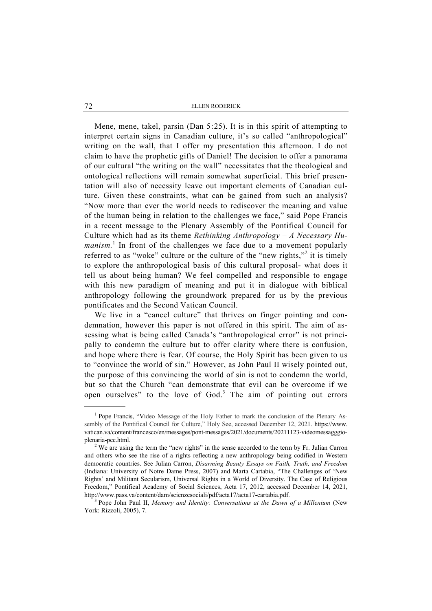Mene, mene, takel, parsin (Dan 5:25). It is in this spirit of attempting to interpret certain signs in Canadian culture, it's so called "anthropological" writing on the wall, that I offer my presentation this afternoon. I do not claim to have the prophetic gifts of Daniel! The decision to offer a panorama of our cultural "the writing on the wall" necessitates that the theological and ontological reflections will remain somewhat superficial. This brief presentation will also of necessity leave out important elements of Canadian culture. Given these constraints, what can be gained from such an analysis? "Now more than ever the world needs to rediscover the meaning and value of the human being in relation to the challenges we face," said Pope Francis in a recent message to the Plenary Assembly of the Pontifical Council for Culture which had as its theme *Rethinking Anthropology – A Necessary Hu*manism.<sup>1</sup> In front of the challenges we face due to a movement popularly referred to as "woke" culture or the culture of the "new rights,"<sup>2</sup> it is timely to explore the anthropological basis of this cultural proposal- what does it tell us about being human? We feel compelled and responsible to engage with this new paradigm of meaning and put it in dialogue with biblical anthropology following the groundwork prepared for us by the previous pontificates and the Second Vatican Council.

We live in a "cancel culture" that thrives on finger pointing and condemnation, however this paper is not offered in this spirit. The aim of assessing what is being called Canada's "anthropological error" is not principally to condemn the culture but to offer clarity where there is confusion, and hope where there is fear. Of course, the Holy Spirit has been given to us to "convince the world of sin." However, as John Paul II wisely pointed out, the purpose of this convincing the world of sin is not to condemn the world, but so that the Church "can demonstrate that evil can be overcome if we open ourselves" to the love of  $God.$ <sup>3</sup> The aim of pointing out errors

 $\overline{\phantom{a}}$ <sub>1</sub> <sup>1</sup> Pope Francis, "Video Message of the Holy Father to mark the conclusion of the Plenary Assembly of the Pontifical Council for Culture," Holy See, accessed December 12, 2021. https://www. vatican.va/content/francesco/en/messages/pont-messages/2021/documents/20211123-videomessagggioplenaria-pcc.html. 2

 $2$  We are using the term the "new rights" in the sense accorded to the term by Fr. Julian Carron and others who see the rise of a rights reflecting a new anthropology being codified in Western democratic countries. See Julian Carron, *Disarming Beauty Essays on Faith, Truth, and Freedom*  (Indiana: University of Notre Dame Press, 2007) and Marta Cartabia, "The Challenges of 'New Rights' and Militant Secularism, Universal Rights in a World of Diversity. The Case of Religious Freedom," Pontifical Academy of Social Sciences, Acta 17, 2012, accessed December 14, 2021, http://www.pass.va/content/dam/scienzesociali/pdf/acta17/acta17-cartabia.pdf. 3

<sup>&</sup>lt;sup>3</sup> Pope John Paul II, *Memory and Identity: Conversations at the Dawn of a Millenium* (New York: Rizzoli, 2005), 7.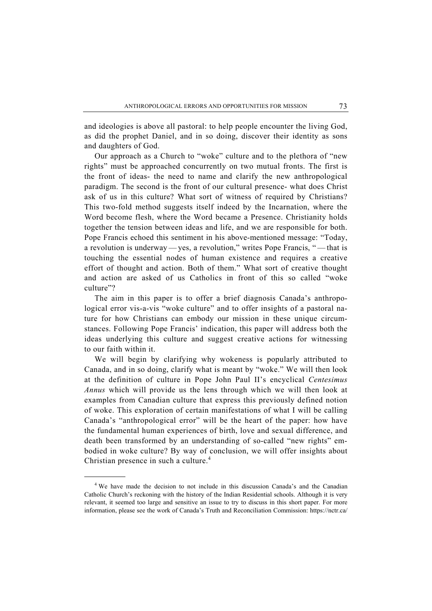and ideologies is above all pastoral: to help people encounter the living God, as did the prophet Daniel, and in so doing, discover their identity as sons and daughters of God.

Our approach as a Church to "woke" culture and to the plethora of "new rights" must be approached concurrently on two mutual fronts. The first is the front of ideas- the need to name and clarify the new anthropological paradigm. The second is the front of our cultural presence- what does Christ ask of us in this culture? What sort of witness of required by Christians? This two-fold method suggests itself indeed by the Incarnation, where the Word become flesh, where the Word became a Presence. Christianity holds together the tension between ideas and life, and we are responsible for both. Pope Francis echoed this sentiment in his above-mentioned message: "Today, a revolution is underway — yes, a revolution," writes Pope Francis, " — that is touching the essential nodes of human existence and requires a creative effort of thought and action. Both of them." What sort of creative thought and action are asked of us Catholics in front of this so called "woke culture"?

The aim in this paper is to offer a brief diagnosis Canada's anthropological error vis-a-vis "woke culture" and to offer insights of a pastoral nature for how Christians can embody our mission in these unique circumstances. Following Pope Francis' indication, this paper will address both the ideas underlying this culture and suggest creative actions for witnessing to our faith within it.

We will begin by clarifying why wokeness is popularly attributed to Canada, and in so doing, clarify what is meant by "woke." We will then look at the definition of culture in Pope John Paul II's encyclical *Centesimus Annus* which will provide us the lens through which we will then look at examples from Canadian culture that express this previously defined notion of woke. This exploration of certain manifestations of what I will be calling Canada's "anthropological error" will be the heart of the paper: how have the fundamental human experiences of birth, love and sexual difference, and death been transformed by an understanding of so-called "new rights" embodied in woke culture? By way of conclusion, we will offer insights about Christian presence in such a culture. $4$ 

 $\overline{\phantom{0}}$  We have made the decision to not include in this discussion Canada's and the Canadian Catholic Church's reckoning with the history of the Indian Residential schools. Although it is very relevant, it seemed too large and sensitive an issue to try to discuss in this short paper. For more information, please see the work of Canada's Truth and Reconciliation Commission: https://nctr.ca/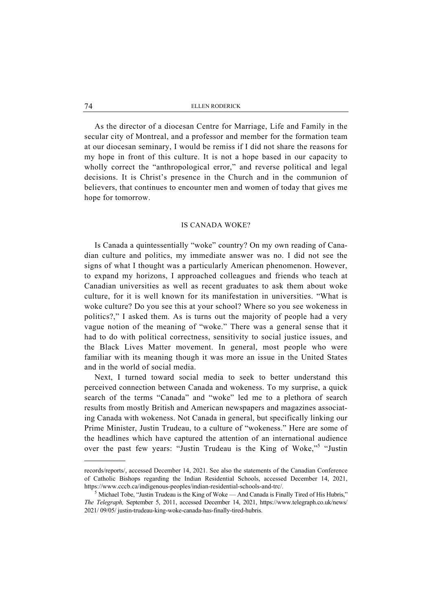As the director of a diocesan Centre for Marriage, Life and Family in the secular city of Montreal, and a professor and member for the formation team at our diocesan seminary, I would be remiss if I did not share the reasons for my hope in front of this culture. It is not a hope based in our capacity to wholly correct the "anthropological error," and reverse political and legal decisions. It is Christ's presence in the Church and in the communion of believers, that continues to encounter men and women of today that gives me hope for tomorrow.

# IS CANADA WOKE?

Is Canada a quintessentially "woke" country? On my own reading of Canadian culture and politics, my immediate answer was no. I did not see the signs of what I thought was a particularly American phenomenon. However, to expand my horizons, I approached colleagues and friends who teach at Canadian universities as well as recent graduates to ask them about woke culture, for it is well known for its manifestation in universities. "What is woke culture? Do you see this at your school? Where so you see wokeness in politics?," I asked them. As is turns out the majority of people had a very vague notion of the meaning of "woke." There was a general sense that it had to do with political correctness, sensitivity to social justice issues, and the Black Lives Matter movement. In general, most people who were familiar with its meaning though it was more an issue in the United States and in the world of social media.

Next, I turned toward social media to seek to better understand this perceived connection between Canada and wokeness. To my surprise, a quick search of the terms "Canada" and "woke" led me to a plethora of search results from mostly British and American newspapers and magazines associating Canada with wokeness. Not Canada in general, but specifically linking our Prime Minister, Justin Trudeau, to a culture of "wokeness." Here are some of the headlines which have captured the attention of an international audience over the past few years: "Justin Trudeau is the King of Woke,"<sup>5</sup> "Justin

records/reports/, accessed December 14, 2021. See also the statements of the Canadian Conference of Catholic Bishops regarding the Indian Residential Schools, accessed December 14, 2021, https://www.cccb.ca/indigenous-peoples/indian-residential-schools-and-trc/. 5

 $<sup>5</sup>$  Michael Tobe, "Justin Trudeau is the King of Woke — And Canada is Finally Tired of His Hubris,"</sup> *The Telegraph,* September 5, 2011, accessed December 14, 2021, https://www.telegraph.co.uk/news/ 2021/ 09/05/ justin-trudeau-king-woke-canada-has-finally-tired-hubris.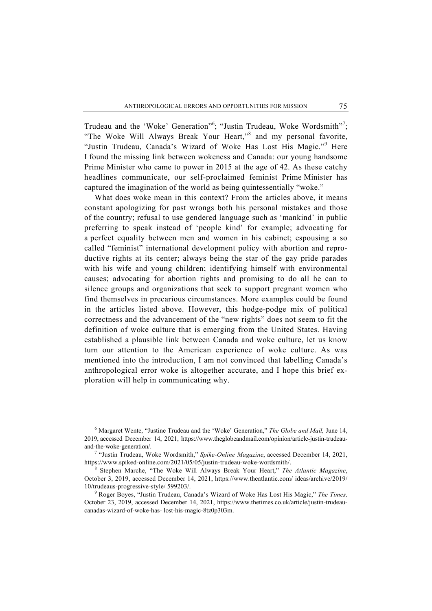Trudeau and the 'Woke' Generation"<sup>6</sup>; "Justin Trudeau, Woke Wordsmith"<sup>7</sup>; "The Woke Will Always Break Your Heart,"<sup>8</sup> and my personal favorite, "Justin Trudeau, Canada's Wizard of Woke Has Lost His Magic."<sup>9</sup> Here I found the missing link between wokeness and Canada: our young handsome Prime Minister who came to power in 2015 at the age of 42. As these catchy headlines communicate, our self-proclaimed feminist Prime Minister has captured the imagination of the world as being quintessentially "woke."

What does woke mean in this context? From the articles above, it means constant apologizing for past wrongs both his personal mistakes and those of the country; refusal to use gendered language such as 'mankind' in public preferring to speak instead of 'people kind' for example; advocating for a perfect equality between men and women in his cabinet; espousing a so called "feminist" international development policy with abortion and reproductive rights at its center; always being the star of the gay pride parades with his wife and young children; identifying himself with environmental causes; advocating for abortion rights and promising to do all he can to silence groups and organizations that seek to support pregnant women who find themselves in precarious circumstances. More examples could be found in the articles listed above. However, this hodge-podge mix of political correctness and the advancement of the "new rights" does not seem to fit the definition of woke culture that is emerging from the United States. Having established a plausible link between Canada and woke culture, let us know turn our attention to the American experience of woke culture. As was mentioned into the introduction, I am not convinced that labelling Canada's anthropological error woke is altogether accurate, and I hope this brief exploration will help in communicating why.

 <sup>6</sup> Margaret Wente, "Justine Trudeau and the 'Woke' Generation," *The Globe and Mail,* June 14, 2019, accessed December 14, 2021, https://www.theglobeandmail.com/opinion/article-justin-trudeauand-the-woke-generation/. 7

<sup>&</sup>lt;sup>7</sup> "Justin Trudeau, Woke Wordsmith," Spike-Online Magazine, accessed December 14, 2021, https://www.spiked-online.com/2021/05/05/justin-trudeau-woke-wordsmith/. 8

Stephen Marche, "The Woke Will Always Break Your Heart," *The Atlantic Magazine*, October 3, 2019, accessed December 14, 2021, https://www.theatlantic.com/ ideas/archive/2019/ 10/trudeaus-progressive-style/ 599203/. 9

Roger Boyes, "Justin Trudeau, Canada's Wizard of Woke Has Lost His Magic," *The Times,* October 23, 2019, accessed December 14, 2021, https://www.thetimes.co.uk/article/justin-trudeaucanadas-wizard-of-woke-has- lost-his-magic-8tz0p303m.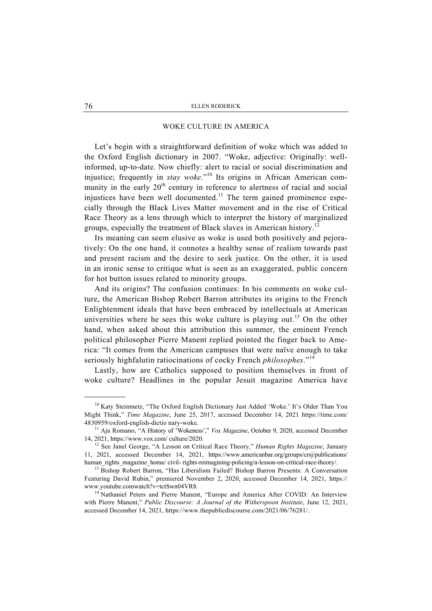# WOKE CULTURE IN AMERICA

Let's begin with a straightforward definition of woke which was added to the Oxford English dictionary in 2007. "Woke, adjective: Originally: wellinformed, up-to-date. Now chiefly: alert to racial or social discrimination and injustice; frequently in *stay woke*."10 Its origins in African American community in the early  $20<sup>th</sup>$  century in reference to alertness of racial and social injustices have been well documented.<sup>11</sup> The term gained prominence especially through the Black Lives Matter movement and in the rise of Critical Race Theory as a lens through which to interpret the history of marginalized groups, especially the treatment of Black slaves in American history.<sup>12</sup>

Its meaning can seem elusive as woke is used both positively and pejoratively: On the one hand, it connotes a healthy sense of realism towards past and present racism and the desire to seek justice. On the other, it is used in an ironic sense to critique what is seen as an exaggerated, public concern for hot button issues related to minority groups.

And its origins? The confusion continues: In his comments on woke culture, the American Bishop Robert Barron attributes its origins to the French Enlightenment ideals that have been embraced by intellectuals at American universities where he sees this woke culture is playing out.<sup>13</sup> On the other hand, when asked about this attribution this summer, the eminent French political philosopher Pierre Manent replied pointed the finger back to America: "It comes from the American campuses that were naïve enough to take seriously highfalutin ratiocinations of cocky French *philosophes*."<sup>14</sup>

Lastly, how are Catholics supposed to position themselves in front of woke culture? Headlines in the popular Jesuit magazine America have

<sup>&</sup>lt;sup>10</sup> Katy Steinmetz, "The Oxford English Dictionary Just Added 'Woke.' It's Older Than You Might Think," *Time Magazine*, June 25, 2017, accessed December 14, 2021 https://time.com/ 4830959/oxford-english-dictio nary-woke. 11 Aja Romano, "A History of 'Wokeness'," *Vox Magazine*, October 9, 2020, accessed December

<sup>14, 2021,</sup> https://www.vox.com/ culture/2020. 12 See Janel George, "A Lesson on Critical Race Theory," *Human Rights Magazine*, January

<sup>11, 2021,</sup> accessed December 14, 2021, https://www.americanbar.org/groups/crsj/publications/ human\_rights\_magazine\_home/ civil- rights-reimagining-policing/a-lesson-on-critical-race-theory/. 13 Bishop Robert Barron, "Has Liberalism Failed? Bishop Barron Presents: A Conversation

Featuring David Rubin," premiered November 2, 2020, accessed December 14, 2021, https:// www.youtube.comwatch?v=tctSwn04VR8.<br><sup>14</sup> Nathaniel Peters and Pierre Manent, "Europe and America After COVID: An Interview

with Pierre Manent," *Public Discourse: A Journal of the Witherspoon Institute*, June 12, 2021, accessed December 14, 2021, https://www.thepublicdiscourse.com/2021/06/76281/.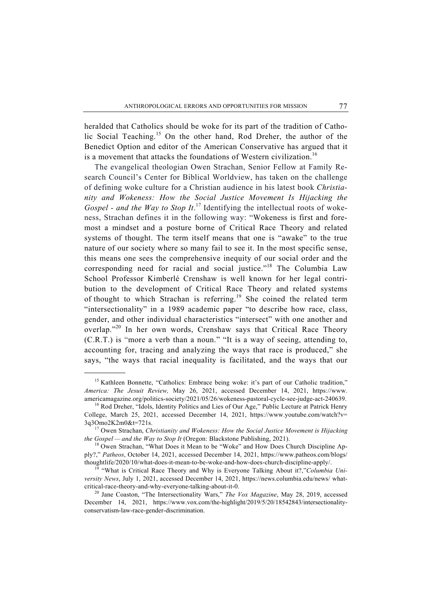heralded that Catholics should be woke for its part of the tradition of Catholic Social Teaching.<sup>15</sup> On the other hand, Rod Dreher, the author of the Benedict Option and editor of the American Conservative has argued that it is a movement that attacks the foundations of Western civilization.<sup>16</sup>

The evangelical theologian Owen Strachan, Senior Fellow at Family Research Council's Center for Biblical Worldview, has taken on the challenge of defining woke culture for a Christian audience in his latest book *Christianity and Wokeness: How the Social Justice Movement Is Hijacking the Gospel - and the Way to Stop It*. 17 Identifying the intellectual roots of wokeness, Strachan defines it in the following way: "Wokeness is first and foremost a mindset and a posture borne of Critical Race Theory and related systems of thought. The term itself means that one is "awake" to the true nature of our society where so many fail to see it. In the most specific sense, this means one sees the comprehensive inequity of our social order and the corresponding need for racial and social justice."<sup>18</sup> The Columbia Law School Professor Kimberlé Crenshaw is well known for her legal contribution to the development of Critical Race Theory and related systems of thought to which Strachan is referring.<sup>19</sup> She coined the related term "intersectionality" in a 1989 academic paper "to describe how race, class, gender, and other individual characteristics "intersect" with one another and overlap."<sup>20</sup> In her own words, Crenshaw says that Critical Race Theory (C.R.T.) is "more a verb than a noun." "It is a way of seeing, attending to, accounting for, tracing and analyzing the ways that race is produced," she says, "the ways that racial inequality is facilitated, and the ways that our

<sup>&</sup>lt;sup>15</sup> Kathleen Bonnette, "Catholics: Embrace being woke: it's part of our Catholic tradition," *America: The Jesuit Review,* May 26, 2021, accessed December 14, 2021, https://www. americamagazine.org/politics-society/2021/05/26/wokeness-pastoral-cycle-see-judge-act-240639. 16 Rod Dreher, "Idols, Identity Politics and Lies of Our Age," Public Lecture at Patrick Henry

College, March 25, 2021, accessed December 14, 2021, https://www.youtube.com/watch?v= 3q3Omo2K2m0&t=721s. 17 Owen Strachan, *Christianity and Wokeness: How the Social Justice Movement is Hijacking* 

*the Gospel — and the Way to Stop It* (Oregon: Blackstone Publishing, 2021).<br><sup>18</sup> Owen Strachan, "What Does it Mean to be "Woke" and How Does Church Discipline Ap-

ply?," *Patheos*, October 14, 2021, accessed December 14, 2021, https://www.patheos.com/blogs/ thoughtlife/2020/10/what-does-it-mean-to-be-woke-and-how-does-church-discipline-apply/. 19 "What is Critical Race Theory and Why is Everyone Talking About it?,"*Columbia Uni-*

*versity News*, July 1, 2021, accessed December 14, 2021, https://news.columbia.edu/news/ whatcritical-race-theory-and-why-everyone-talking-about-it-0. 20 Jane Coaston, "The Intersectionality Wars," *The Vox Magazine*, May 28, 2019, accessed

December 14, 2021, https://www.vox.com/the-highlight/2019/5/20/18542843/intersectionalityconservatism-law-race-gender-discrimination.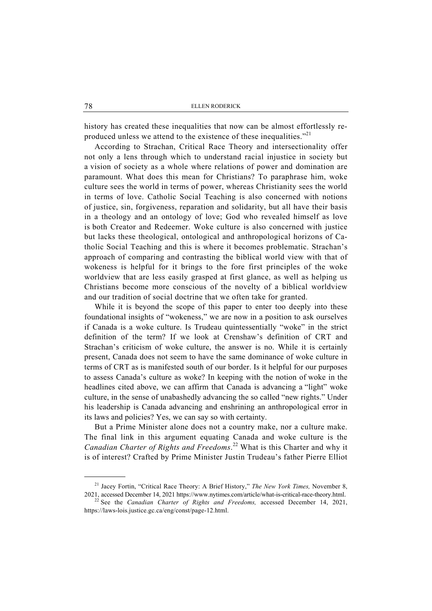history has created these inequalities that now can be almost effortlessly reproduced unless we attend to the existence of these inequalities."<sup>21</sup>

According to Strachan, Critical Race Theory and intersectionality offer not only a lens through which to understand racial injustice in society but a vision of society as a whole where relations of power and domination are paramount. What does this mean for Christians? To paraphrase him, woke culture sees the world in terms of power, whereas Christianity sees the world in terms of love. Catholic Social Teaching is also concerned with notions of justice, sin, forgiveness, reparation and solidarity, but all have their basis in a theology and an ontology of love; God who revealed himself as love is both Creator and Redeemer. Woke culture is also concerned with justice but lacks these theological, ontological and anthropological horizons of Catholic Social Teaching and this is where it becomes problematic. Strachan's approach of comparing and contrasting the biblical world view with that of wokeness is helpful for it brings to the fore first principles of the woke worldview that are less easily grasped at first glance, as well as helping us Christians become more conscious of the novelty of a biblical worldview and our tradition of social doctrine that we often take for granted.

While it is beyond the scope of this paper to enter too deeply into these foundational insights of "wokeness," we are now in a position to ask ourselves if Canada is a woke culture. Is Trudeau quintessentially "woke" in the strict definition of the term? If we look at Crenshaw's definition of CRT and Strachan's criticism of woke culture, the answer is no. While it is certainly present, Canada does not seem to have the same dominance of woke culture in terms of CRT as is manifested south of our border. Is it helpful for our purposes to assess Canada's culture as woke? In keeping with the notion of woke in the headlines cited above, we can affirm that Canada is advancing a "light" woke culture, in the sense of unabashedly advancing the so called "new rights." Under his leadership is Canada advancing and enshrining an anthropological error in its laws and policies? Yes, we can say so with certainty.

But a Prime Minister alone does not a country make, nor a culture make. The final link in this argument equating Canada and woke culture is the *Canadian Charter of Rights and Freedoms*. 22 What is this Charter and why it is of interest? Crafted by Prime Minister Justin Trudeau's father Pierre Elliot

 <sup>21</sup> Jacey Fortin, "Critical Race Theory: A Brief History," *The New York Times,* November 8, 2021, accessed December 14, 2021 https://www.nytimes.com/article/what-is-critical-race-theory.html.

<sup>22</sup> See the *Canadian Charter of Rights and Freedoms,* accessed December 14, 2021, https://laws-lois.justice.gc.ca/eng/const/page-12.html.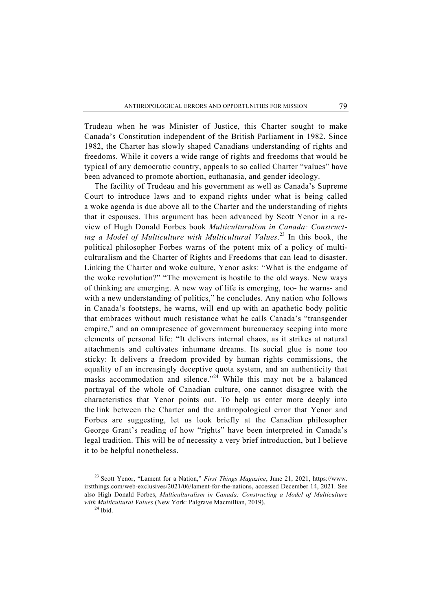Trudeau when he was Minister of Justice, this Charter sought to make Canada's Constitution independent of the British Parliament in 1982. Since 1982, the Charter has slowly shaped Canadians understanding of rights and freedoms. While it covers a wide range of rights and freedoms that would be typical of any democratic country, appeals to so called Charter "values" have been advanced to promote abortion, euthanasia, and gender ideology.

The facility of Trudeau and his government as well as Canada's Supreme Court to introduce laws and to expand rights under what is being called a woke agenda is due above all to the Charter and the understanding of rights that it espouses. This argument has been advanced by Scott Yenor in a review of Hugh Donald Forbes book *Multiculturalism in Canada: Constructing a Model of Multiculture with Multicultural Values*. 23 In this book, the political philosopher Forbes warns of the potent mix of a policy of multiculturalism and the Charter of Rights and Freedoms that can lead to disaster. Linking the Charter and woke culture, Yenor asks: "What is the endgame of the woke revolution?" "The movement is hostile to the old ways. New ways of thinking are emerging. A new way of life is emerging, too- he warns- and with a new understanding of politics," he concludes. Any nation who follows in Canada's footsteps, he warns, will end up with an apathetic body politic that embraces without much resistance what he calls Canada's "transgender empire," and an omnipresence of government bureaucracy seeping into more elements of personal life: "It delivers internal chaos, as it strikes at natural attachments and cultivates inhumane dreams. Its social glue is none too sticky: It delivers a freedom provided by human rights commissions, the equality of an increasingly deceptive quota system, and an authenticity that masks accommodation and silence."<sup>24</sup> While this may not be a balanced portrayal of the whole of Canadian culture, one cannot disagree with the characteristics that Yenor points out. To help us enter more deeply into the link between the Charter and the anthropological error that Yenor and Forbes are suggesting, let us look briefly at the Canadian philosopher George Grant's reading of how "rights" have been interpreted in Canada's legal tradition. This will be of necessity a very brief introduction, but I believe it to be helpful nonetheless.

 <sup>23</sup> Scott Yenor, "Lament for a Nation," *First Things Magazine*, June 21, 2021, https://www. irstthings.com/web-exclusives/2021/06/lament-for-the-nations, accessed December 14, 2021. See also High Donald Forbes, *Multiculturalism in Canada: Constructing a Model of Multiculture*  with Multicultural Values (New York: Palgrave Macmillian, 2019).<br><sup>24</sup> Ibid.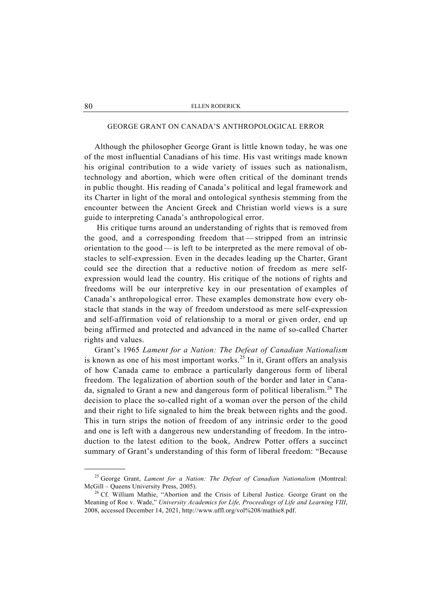# GEORGE GRANT ON CANADA'S ANTHROPOLOGICAL ERROR

Although the philosopher George Grant is little known today, he was one of the most influential Canadians of his time. His vast writings made known his original contribution to a wide variety of issues such as nationalism, technology and abortion, which were often critical of the dominant trends in public thought. His reading of Canada's political and legal framework and its Charter in light of the moral and ontological synthesis stemming from the encounter between the Ancient Greek and Christian world views is a sure guide to interpreting Canada's anthropological error.

 His critique turns around an understanding of rights that is removed from the good, and a corresponding freedom that — stripped from an intrinsic orientation to the good — is left to be interpreted as the mere removal of obstacles to self-expression. Even in the decades leading up the Charter, Grant could see the direction that a reductive notion of freedom as mere selfexpression would lead the country. His critique of the notions of rights and freedoms will be our interpretive key in our presentation of examples of Canada's anthropological error. These examples demonstrate how every obstacle that stands in the way of freedom understood as mere self-expression and self-affirmation void of relationship to a moral or given order, end up being affirmed and protected and advanced in the name of so-called Charter rights and values.

Grant's 1965 *Lament for a Nation: The Defeat of Canadian Nationalism* is known as one of his most important works.<sup>25</sup> In it, Grant offers an analysis of how Canada came to embrace a particularly dangerous form of liberal freedom. The legalization of abortion south of the border and later in Canada, signaled to Grant a new and dangerous form of political liberalism.<sup>26</sup> The decision to place the so-called right of a woman over the person of the child and their right to life signaled to him the break between rights and the good. This in turn strips the notion of freedom of any intrinsic order to the good and one is left with a dangerous new understanding of freedom. In the introduction to the latest edition to the book, Andrew Potter offers a succinct summary of Grant's understanding of this form of liberal freedom: "Because

 <sup>25</sup> George Grant, *Lament for a Nation: The Defeat of Canadian Nationalism* (Montreal: McGill – Queens University Press, 2005).<br><sup>26</sup> Cf. William Mathie, "Abortion and the Crisis of Liberal Justice. George Grant on the

Meaning of Roe v. Wade," *University Academics for Life, Proceedings of Life and Learning VIII*, 2008, accessed December 14, 2021, http://www.uffl.org/vol%208/mathie8.pdf.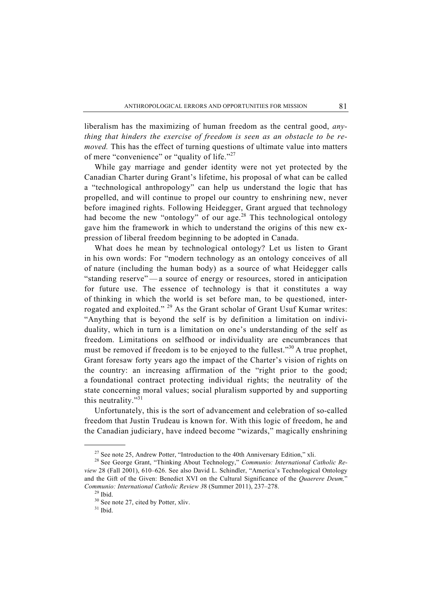liberalism has the maximizing of human freedom as the central good, *anything that hinders the exercise of freedom is seen as an obstacle to be removed.* This has the effect of turning questions of ultimate value into matters of mere "convenience" or "quality of life."<sup>27</sup>

While gay marriage and gender identity were not yet protected by the Canadian Charter during Grant's lifetime, his proposal of what can be called a "technological anthropology" can help us understand the logic that has propelled, and will continue to propel our country to enshrining new, never before imagined rights. Following Heidegger, Grant argued that technology had become the new "ontology" of our age.<sup>28</sup> This technological ontology gave him the framework in which to understand the origins of this new expression of liberal freedom beginning to be adopted in Canada.

What does he mean by technological ontology? Let us listen to Grant in his own words: For "modern technology as an ontology conceives of all of nature (including the human body) as a source of what Heidegger calls "standing reserve" — a source of energy or resources, stored in anticipation for future use. The essence of technology is that it constitutes a way of thinking in which the world is set before man, to be questioned, interrogated and exploited." <sup>29</sup> As the Grant scholar of Grant Usuf Kumar writes: "Anything that is beyond the self is by definition a limitation on individuality, which in turn is a limitation on one's understanding of the self as freedom. Limitations on selfhood or individuality are encumbrances that must be removed if freedom is to be enjoyed to the fullest."<sup>30</sup> A true prophet, Grant foresaw forty years ago the impact of the Charter's vision of rights on the country: an increasing affirmation of the "right prior to the good; a foundational contract protecting individual rights; the neutrality of the state concerning moral values; social pluralism supported by and supporting this neutrality."<sup>31</sup>

Unfortunately, this is the sort of advancement and celebration of so-called freedom that Justin Trudeau is known for. With this logic of freedom, he and the Canadian judiciary, have indeed become "wizards," magically enshrining

<sup>&</sup>lt;sup>27</sup> See note 25, Andrew Potter, "Introduction to the 40th Anniversary Edition," xli.<br><sup>28</sup> See George Grant, "Thinking About Technology," *Communio: International Catholic Review* 28 (Fall 2001), 610–626. See also David L. Schindler, "America's Technological Ontology and the Gift of the Given: Benedict XVI on the Cultural Significance of the *Quaerere Deum,*" *Communio: International Catholic Review 3*8 (Summer 2011), 237–278. 29 Ibid.

<sup>&</sup>lt;sup>30</sup> See note 27, cited by Potter, xliv.

 $31$  Ibid.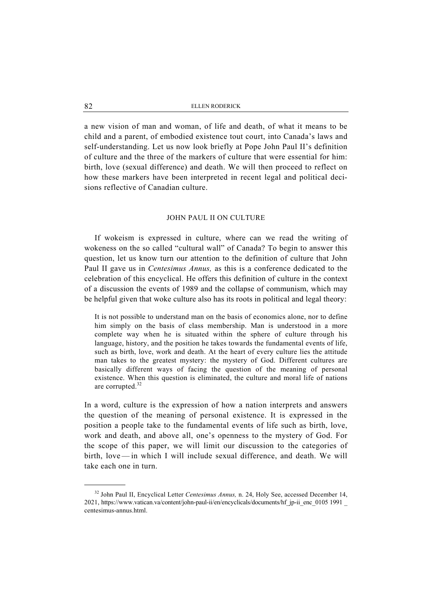a new vision of man and woman, of life and death, of what it means to be child and a parent, of embodied existence tout court, into Canada's laws and self-understanding. Let us now look briefly at Pope John Paul II's definition of culture and the three of the markers of culture that were essential for him: birth, love (sexual difference) and death. We will then proceed to reflect on how these markers have been interpreted in recent legal and political decisions reflective of Canadian culture.

# JOHN PAUL II ON CULTURE

If wokeism is expressed in culture, where can we read the writing of wokeness on the so called "cultural wall" of Canada? To begin to answer this question, let us know turn our attention to the definition of culture that John Paul II gave us in *Centesimus Annus,* as this is a conference dedicated to the celebration of this encyclical. He offers this definition of culture in the context of a discussion the events of 1989 and the collapse of communism, which may be helpful given that woke culture also has its roots in political and legal theory:

It is not possible to understand man on the basis of economics alone, nor to define him simply on the basis of class membership. Man is understood in a more complete way when he is situated within the sphere of culture through his language, history, and the position he takes towards the fundamental events of life, such as birth, love, work and death. At the heart of every culture lies the attitude man takes to the greatest mystery: the mystery of God. Different cultures are basically different ways of facing the question of the meaning of personal existence. When this question is eliminated, the culture and moral life of nations are corrupted.<sup>32</sup>

In a word, culture is the expression of how a nation interprets and answers the question of the meaning of personal existence. It is expressed in the position a people take to the fundamental events of life such as birth, love, work and death, and above all, one's openness to the mystery of God. For the scope of this paper, we will limit our discussion to the categories of birth, love — in which I will include sexual difference, and death. We will take each one in turn.

<sup>32</sup> John Paul II, Encyclical Letter *Centesimus Annus,* n. 24, Holy See, accessed December 14, 2021, https://www.vatican.va/content/john-paul-ii/en/encyclicals/documents/hf\_jp-ii\_enc\_0105 1991 \_ centesimus-annus.html.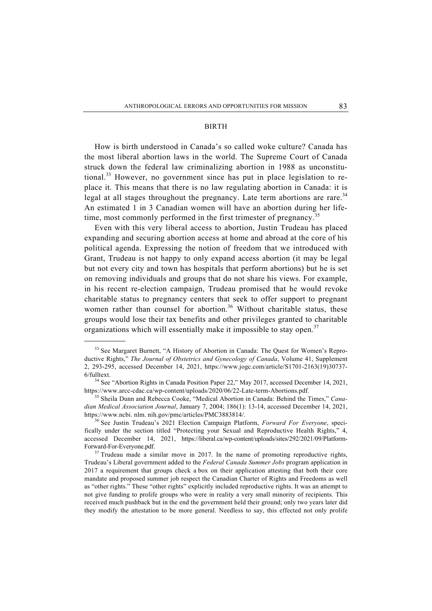#### BIRTH

How is birth understood in Canada's so called woke culture? Canada has the most liberal abortion laws in the world. The Supreme Court of Canada struck down the federal law criminalizing abortion in 1988 as unconstitutional.<sup>33</sup> However, no government since has put in place legislation to replace it. This means that there is no law regulating abortion in Canada: it is legal at all stages throughout the pregnancy. Late term abortions are rare.<sup>34</sup> An estimated 1 in 3 Canadian women will have an abortion during her lifetime, most commonly performed in the first trimester of pregnancy.<sup>35</sup>

Even with this very liberal access to abortion, Justin Trudeau has placed expanding and securing abortion access at home and abroad at the core of his political agenda. Expressing the notion of freedom that we introduced with Grant, Trudeau is not happy to only expand access abortion (it may be legal but not every city and town has hospitals that perform abortions) but he is set on removing individuals and groups that do not share his views. For example, in his recent re-election campaign, Trudeau promised that he would revoke charitable status to pregnancy centers that seek to offer support to pregnant women rather than counsel for abortion.<sup>36</sup> Without charitable status, these groups would lose their tax benefits and other privileges granted to charitable organizations which will essentially make it impossible to stay open.<sup>37</sup>

<sup>&</sup>lt;sup>33</sup> See Margaret Burnett, "A History of Abortion in Canada: The Quest for Women's Reproductive Rights," *The Journal of Obstetrics and Gynecology of Canada*, Volume 41, Supplement 2, 293-295, accessed December 14, 2021, https://www.jogc.com/article/S1701-2163(19)30737-  $6$ fulltext.

<sup>&</sup>lt;sup>34</sup> See "Abortion Rights in Canada Position Paper 22," May 2017, accessed December 14, 2021, https://www.arcc-cdac.ca/wp-content/uploads/2020/06/22-Late-term-Abortions.pdf. 35 Sheila Dunn and Rebecca Cooke, "Medical Abortion in Canada: Behind the Times," *Cana-*

*dian Medical Association Journal*, January 7, 2004; 186(1): 13-14, accessed December 14, 2021, https://www.ncbi. nlm. nih.gov/pmc/articles/PMC3883814/. 36 See Justin Trudeau's 2021 Election Campaign Platform, *Forward For Everyone*, speci-

fically under the section titled "Protecting your Sexual and Reproductive Health Rights," 4, accessed December 14, 2021, https://liberal.ca/wp-content/uploads/sites/292/2021/09/Platform-Forward-For-Everyone.pdf.<br><sup>37</sup> Trudeau made a similar move in 2017. In the name of promoting reproductive rights,

Trudeau's Liberal government added to the *Federal Canada Summer Jobs* program application in 2017 a requirement that groups check a box on their application attesting that both their core mandate and proposed summer job respect the Canadian Charter of Rights and Freedoms as well as "other rights." These "other rights" explicitly included reproductive rights. It was an attempt to not give funding to prolife groups who were in reality a very small minority of recipients. This received much pushback but in the end the government held their ground; only two years later did they modify the attestation to be more general. Needless to say, this effected not only prolife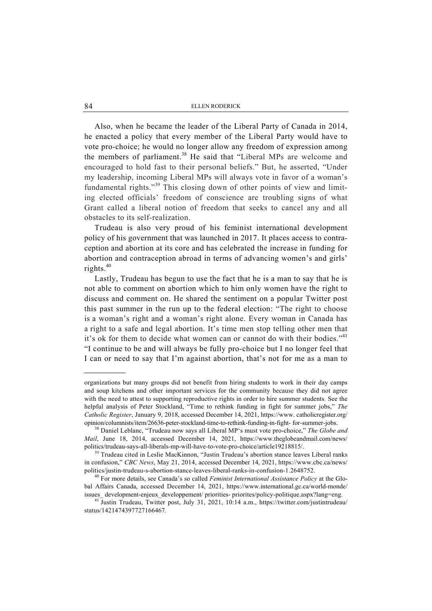Also, when he became the leader of the Liberal Party of Canada in 2014, he enacted a policy that every member of the Liberal Party would have to vote pro-choice; he would no longer allow any freedom of expression among the members of parliament.<sup>38</sup> He said that "Liberal MPs are welcome and encouraged to hold fast to their personal beliefs." But, he asserted, "Under my leadership, incoming Liberal MPs will always vote in favor of a woman's fundamental rights."39 This closing down of other points of view and limiting elected officials' freedom of conscience are troubling signs of what Grant called a liberal notion of freedom that seeks to cancel any and all obstacles to its self-realization.

Trudeau is also very proud of his feminist international development policy of his government that was launched in 2017. It places access to contraception and abortion at its core and has celebrated the increase in funding for abortion and contraception abroad in terms of advancing women's and girls' rights.<sup>40</sup>

Lastly, Trudeau has begun to use the fact that he is a man to say that he is not able to comment on abortion which to him only women have the right to discuss and comment on. He shared the sentiment on a popular Twitter post this past summer in the run up to the federal election: "The right to choose is a woman's right and a woman's right alone. Every woman in Canada has a right to a safe and legal abortion. It's time men stop telling other men that it's ok for them to decide what women can or cannot do with their bodies."<sup>41</sup> "I continue to be and will always be fully pro-choice but I no longer feel that I can or need to say that I'm against abortion, that's not for me as a man to

1

organizations but many groups did not benefit from hiring students to work in their day camps and soup kitchens and other important services for the community because they did not agree with the need to attest to supporting reproductive rights in order to hire summer students. See the helpful analysis of Peter Stockland, "Time to rethink funding in fight for summer jobs," *The Catholic Register*, January 9, 2018, accessed December 14, 2021, https://www. catholicregister.org/ opinion/columnists/item/26636-peter-stockland-time-to-rethink-funding-in-fight- for-summer-jobs. 38 Daniel Leblanc, "Trudeau now says all Liberal MP's must vote pro-choice," *The Globe and* 

*Mail*, June 18, 2014, accessed December 14, 2021, https://www.theglobeandmail.com/news/ politics/trudeau-says-all-liberals-mp-will-have-to-vote-pro-choice/article19218815/. 39 Trudeau cited in Leslie MacKinnon, "Justin Trudeau's abortion stance leaves Liberal ranks

in confusion," *CBC News*, May 21, 2014, accessed December 14, 2021, https://www.cbc.ca/news/ politics/justin-trudeau-s-abortion-stance-leaves-liberal-ranks-in-confusion-1.2648752. 40 For more details, see Canada's so called *Feminist International Assistance Policy* at the Glo-

bal Affairs Canada, accessed December 14, 2021, https://www.international.gc.ca/world-monde/ issues\_ development-enjeux\_developpement/ priorities- priorites/policy-politique.aspx?lang=eng. 41 Justin Trudeau, Twitter post, July 31, 2021, 10:14 a.m., https://twitter.com/justintrudeau/

status/1421474397727166467.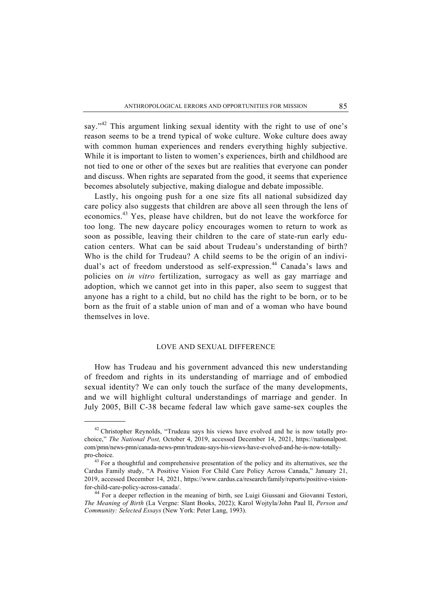say."<sup>42</sup> This argument linking sexual identity with the right to use of one's reason seems to be a trend typical of woke culture. Woke culture does away with common human experiences and renders everything highly subjective. While it is important to listen to women's experiences, birth and childhood are not tied to one or other of the sexes but are realities that everyone can ponder and discuss. When rights are separated from the good, it seems that experience becomes absolutely subjective, making dialogue and debate impossible.

Lastly, his ongoing push for a one size fits all national subsidized day care policy also suggests that children are above all seen through the lens of economics.43 Yes, please have children, but do not leave the workforce for too long. The new daycare policy encourages women to return to work as soon as possible, leaving their children to the care of state-run early education centers. What can be said about Trudeau's understanding of birth? Who is the child for Trudeau? A child seems to be the origin of an individual's act of freedom understood as self-expression.<sup>44</sup> Canada's laws and policies on *in vitro* fertilization, surrogacy as well as gay marriage and adoption, which we cannot get into in this paper, also seem to suggest that anyone has a right to a child, but no child has the right to be born, or to be born as the fruit of a stable union of man and of a woman who have bound themselves in love.

# LOVE AND SEXUAL DIFFERENCE

How has Trudeau and his government advanced this new understanding of freedom and rights in its understanding of marriage and of embodied sexual identity? We can only touch the surface of the many developments, and we will highlight cultural understandings of marriage and gender. In July 2005, Bill C-38 became federal law which gave same-sex couples the

<sup>&</sup>lt;sup>42</sup> Christopher Reynolds, "Trudeau says his views have evolved and he is now totally prochoice," *The National Post,* October 4, 2019, accessed December 14, 2021, https://nationalpost. com/pmn/news-pmn/canada-news-pmn/trudeau-says-his-views-have-evolved-and-he-is-now-totallypro-choice.<br><sup>43</sup> For a thoughtful and comprehensive presentation of the policy and its alternatives, see the

Cardus Family study, "A Positive Vision For Child Care Policy Across Canada," January 21, 2019, accessed December 14, 2021, https://www.cardus.ca/research/family/reports/positive-vision-

for-child-care-policy-across-canada/. 44 For a deeper reflection in the meaning of birth, see Luigi Giussani and Giovanni Testori, *The Meaning of Birth* (La Vergne: Slant Books, 2022); Karol Wojtyla/John Paul II, *Person and Community: Selected Essays* (New York: Peter Lang, 1993).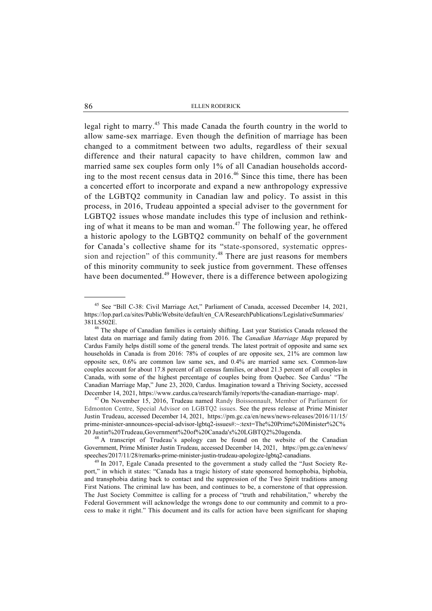legal right to marry.<sup>45</sup> This made Canada the fourth country in the world to allow same-sex marriage. Even though the definition of marriage has been changed to a commitment between two adults, regardless of their sexual difference and their natural capacity to have children, common law and married same sex couples form only 1% of all Canadian households according to the most recent census data in 2016.<sup>46</sup> Since this time, there has been a concerted effort to incorporate and expand a new anthropology expressive of the LGBTQ2 community in Canadian law and policy. To assist in this process, in 2016, Trudeau appointed a special adviser to the government for LGBTQ2 issues whose mandate includes this type of inclusion and rethinking of what it means to be man and woman.<sup>47</sup> The following year, he offered a historic apology to the LGBTQ2 community on behalf of the government for Canada's collective shame for its "state-sponsored, systematic oppression and rejection" of this community. 48 There are just reasons for members of this minority community to seek justice from government. These offenses have been documented.<sup>49</sup> However, there is a difference between apologizing

Edmonton Centre, Special Advisor on LGBTQ2 issues. See the press release at Prime Minister Justin Trudeau, accessed December 14, 2021, https://pm.gc.ca/en/news/news-releases/2016/11/15/ prime-minister-announces-special-advisor-lgbtq2-issues#:~:text=The%20Prime%20Minister%2C% 20 Justin%20Trudeau,Government%20of%20Canada's%20LGBTQ2%20agenda. 48 A transcript of Trudeau's apology can be found on the website of the Canadian

Government, Prime Minister Justin Trudeau, accessed December 14, 2021, https://pm.gc.ca/en/news/ speeches/2017/11/28/remarks-prime-minister-justin-trudeau-apologize-lgbtq2-canadians.<br><sup>49</sup> In 2017, Egale Canada presented to the government a study called the "Just Society Re-

port," in which it states: "Canada has a tragic history of state sponsored homophobia, biphobia, and transphobia dating back to contact and the suppression of the Two Spirit traditions among First Nations. The criminal law has been, and continues to be, a cornerstone of that oppression. The Just Society Committee is calling for a process of "truth and rehabilitation," whereby the Federal Government will acknowledge the wrongs done to our community and commit to a process to make it right." This document and its calls for action have been significant for shaping

 <sup>45</sup> See "Bill C-38: Civil Marriage Act," Parliament of Canada, accessed December 14, 2021, https://lop.parl.ca/sites/PublicWebsite/default/en\_CA/ResearchPublications/LegislativeSummaries/ 381LS502E. 46 The shape of Canadian families is certainly shifting. Last year Statistics Canada released the

latest data on marriage and family dating from 2016. The *Canadian Marriage Map* prepared by Cardus Family helps distill some of the general trends. The latest portrait of opposite and same sex households in Canada is from 2016: 78% of couples of are opposite sex, 21% are common law opposite sex, 0.6% are common law same sex, and 0.4% are married same sex. Common-law couples account for about 17.8 percent of all census families, or about 21.3 percent of all couples in Canada, with some of the highest percentage of couples being from Quebec. See Cardus' "The Canadian Marriage Map," June 23, 2020, Cardus. Imagination toward a Thriving Society, accessed December 14, 2021, https://www.cardus.ca/research/family/reports/the-canadian-marriage- map/. 47 On November 15, 2016, Trudeau named Randy Boissonnault, Member of Parliament for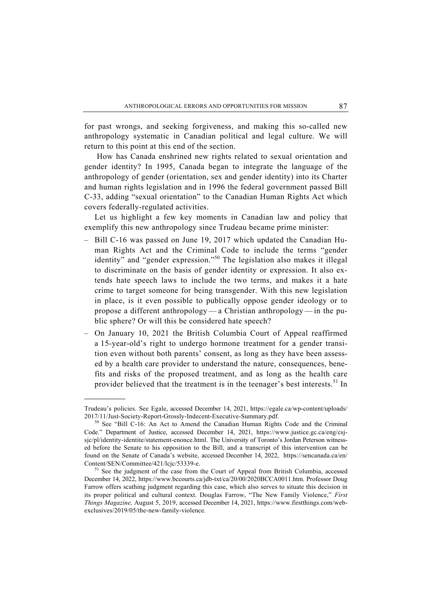for past wrongs, and seeking forgiveness, and making this so-called new anthropology systematic in Canadian political and legal culture. We will return to this point at this end of the section.

 How has Canada enshrined new rights related to sexual orientation and gender identity? In 1995, Canada began to integrate the language of the anthropology of gender (orientation, sex and gender identity) into its Charter and human rights legislation and in 1996 the federal government passed Bill C-33, adding "sexual orientation" to the Canadian Human Rights Act which covers federally-regulated activities.

Let us highlight a few key moments in Canadian law and policy that exemplify this new anthropology since Trudeau became prime minister:

- Bill C-16 was passed on June 19, 2017 which updated the Canadian Human Rights Act and the Criminal Code to include the terms "gender identity" and "gender expression."<sup>50</sup> The legislation also makes it illegal to discriminate on the basis of gender identity or expression. It also extends hate speech laws to include the two terms, and makes it a hate crime to target someone for being transgender. With this new legislation in place, is it even possible to publically oppose gender ideology or to propose a different anthropology — a Christian anthropology — in the public sphere? Or will this be considered hate speech?
- On January 10, 2021 the British Columbia Court of Appeal reaffirmed a 15-year-old's right to undergo hormone treatment for a gender transition even without both parents' consent, as long as they have been assessed by a health care provider to understand the nature, consequences, benefits and risks of the proposed treatment, and as long as the health care provider believed that the treatment is in the teenager's best interests.<sup>51</sup> In

Trudeau's policies. See Egale, accessed December 14, 2021, https://egale.ca/wp-content/uploads/ 2017/11/Just-Society-Report-Grossly-Indecent-Executive-Summary.pdf. 50 See "Bill C-16: An Act to Amend the Canadian Human Rights Code and the Criminal

Code." Department of Justice, accessed December 14, 2021, https://www.justice.gc.ca/eng/csjsjc/pl/identity-identite/statement-enonce.html. The University of Toronto's Jordan Peterson witnessed before the Senate to his opposition to the Bill, and a transcript of this intervention can be found on the Senate of Canada's website, accessed December 14, 2022, https://sencanada.ca/en/ Content/SEN/Committee/421/lcjc/53339-e. 51 See the judgment of the case from the Court of Appeal from British Columbia, accessed

December 14, 2022, https://www.bccourts.ca/jdb-txt/ca/20/00/2020BCCA0011.htm. Professor Doug Farrow offers scathing judgment regarding this case, which also serves to situate this decision in its proper political and cultural context. Douglas Farrow, "The New Family Violence," *First Things Magazine,* August 5, 2019, accessed December 14, 2021, https://www.firstthings.com/webexclusives/2019/05/the-new-family-violence.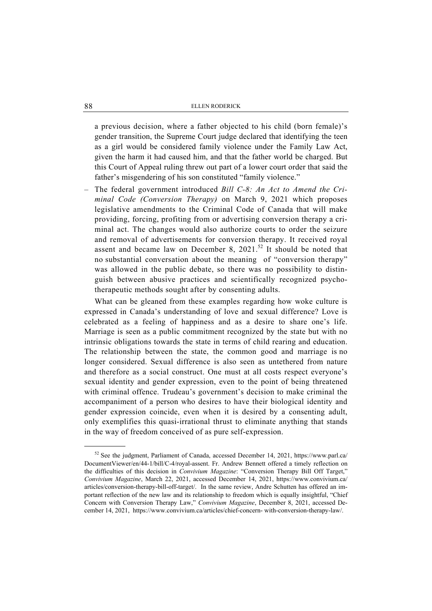a previous decision, where a father objected to his child (born female)'s gender transition, the Supreme Court judge declared that identifying the teen as a girl would be considered family violence under the Family Law Act, given the harm it had caused him, and that the father world be charged. But this Court of Appeal ruling threw out part of a lower court order that said the father's misgendering of his son constituted "family violence."

– The federal government introduced *Bill C-8: An Act to Amend the Criminal Code (Conversion Therapy)* on March 9, 2021 which proposes legislative amendments to the Criminal Code of Canada that will make providing, forcing, profiting from or advertising conversion therapy a criminal act. The changes would also authorize courts to order the seizure and removal of advertisements for conversion therapy. It received royal assent and became law on December 8,  $2021$ .<sup>52</sup> It should be noted that no substantial conversation about the meaning of "conversion therapy" was allowed in the public debate, so there was no possibility to distinguish between abusive practices and scientifically recognized psychotherapeutic methods sought after by consenting adults.

What can be gleaned from these examples regarding how woke culture is expressed in Canada's understanding of love and sexual difference? Love is celebrated as a feeling of happiness and as a desire to share one's life. Marriage is seen as a public commitment recognized by the state but with no intrinsic obligations towards the state in terms of child rearing and education. The relationship between the state, the common good and marriage is no longer considered. Sexual difference is also seen as untethered from nature and therefore as a social construct. One must at all costs respect everyone's sexual identity and gender expression, even to the point of being threatened with criminal offence. Trudeau's government's decision to make criminal the accompaniment of a person who desires to have their biological identity and gender expression coincide, even when it is desired by a consenting adult, only exemplifies this quasi-irrational thrust to eliminate anything that stands in the way of freedom conceived of as pure self-expression.

 $52$  See the judgment, Parliament of Canada, accessed December 14, 2021, https://www.parl.ca/ DocumentViewer/en/44-1/bill/C-4/royal-assent. Fr. Andrew Bennett offered a timely reflection on the difficulties of this decision in *Convivium Magazine*: "Conversion Therapy Bill Off Target," *Convivium Magazine*, March 22, 2021, accessed December 14, 2021, https://www.convivium.ca/ articles/conversion-therapy-bill-off-target/. In the same review, Andre Schutten has offered an important reflection of the new law and its relationship to freedom which is equally insightful, "Chief Concern with Conversion Therapy Law," *Convivium Magazine*, December 8, 2021, accessed December 14, 2021, https://www.convivium.ca/articles/chief-concern- with-conversion-therapy-law/.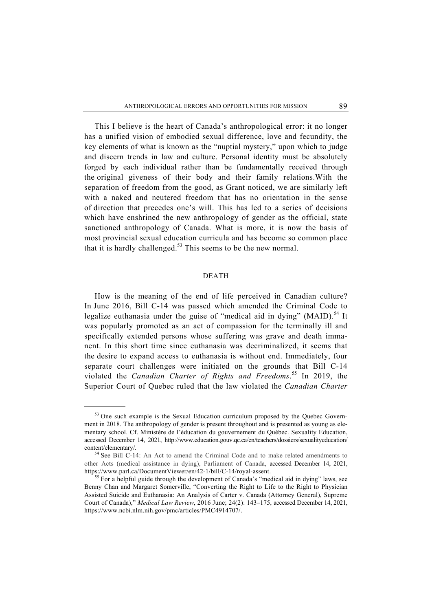This I believe is the heart of Canada's anthropological error: it no longer has a unified vision of embodied sexual difference, love and fecundity, the key elements of what is known as the "nuptial mystery," upon which to judge and discern trends in law and culture. Personal identity must be absolutely forged by each individual rather than be fundamentally received through the original giveness of their body and their family relations.With the separation of freedom from the good, as Grant noticed, we are similarly left with a naked and neutered freedom that has no orientation in the sense of direction that precedes one's will. This has led to a series of decisions which have enshrined the new anthropology of gender as the official, state sanctioned anthropology of Canada. What is more, it is now the basis of most provincial sexual education curricula and has become so common place that it is hardly challenged.<sup>53</sup> This seems to be the new normal.

### DEATH

How is the meaning of the end of life perceived in Canadian culture? In June 2016, Bill C-14 was passed which amended the Criminal Code to legalize euthanasia under the guise of "medical aid in dying" (MAID).<sup>54</sup> It was popularly promoted as an act of compassion for the terminally ill and specifically extended persons whose suffering was grave and death immanent. In this short time since euthanasia was decriminalized, it seems that the desire to expand access to euthanasia is without end. Immediately, four separate court challenges were initiated on the grounds that Bill C-14 violated the *Canadian Charter of Rights and Freedoms*. 55 In 2019, the Superior Court of Quebec ruled that the law violated the *Canadian Charter* 

<sup>&</sup>lt;sup>53</sup> One such example is the Sexual Education curriculum proposed by the Quebec Government in 2018. The anthropology of gender is present throughout and is presented as young as elementary school. Cf. Ministère de l'éducation du gouvernement du Québec. Sexuality Education, accessed December 14, 2021, http://www.education.gouv.qc.ca/en/teachers/dossiers/sexualityeducation/ content/elementary/. 54 See Bill C-14: An Act to amend the Criminal Code and to make related amendments to

other Acts (medical assistance in dying), Parliament of Canada, accessed December 14, 2021, https://www.parl.ca/DocumentViewer/en/42-1/bill/C-14/royal-assent. 55 For a helpful guide through the development of Canada's "medical aid in dying" laws, see

Benny Chan and Margaret Somerville, "Converting the Right to Life to the Right to Physician Assisted Suicide and Euthanasia: An Analysis of Carter v. Canada (Attorney General), Supreme Court of Canada)," *Medical Law Review*, 2016 June; 24(2): 143–175, accessed December 14, 2021, https://www.ncbi.nlm.nih.gov/pmc/articles/PMC4914707/.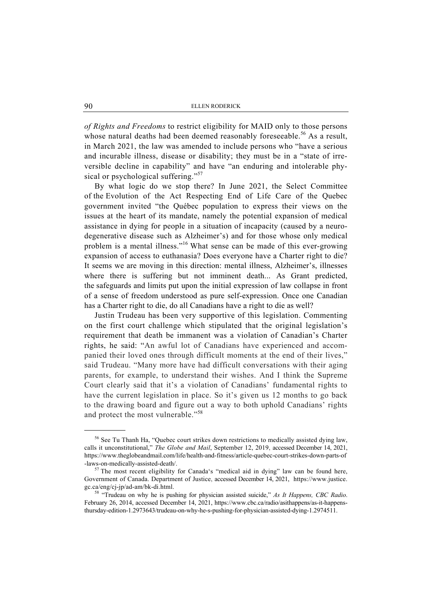*of Rights and Freedoms* to restrict eligibility for MAID only to those persons whose natural deaths had been deemed reasonably foreseeable.<sup>56</sup> As a result, in March 2021, the law was amended to include persons who "have a serious and incurable illness, disease or disability; they must be in a "state of irreversible decline in capability" and have "an enduring and intolerable physical or psychological suffering."<sup>57</sup>

By what logic do we stop there? In June 2021, the Select Committee of the Evolution of the Act Respecting End of Life Care of the Quebec government invited "the Québec population to express their views on the issues at the heart of its mandate, namely the potential expansion of medical assistance in dying for people in a situation of incapacity (caused by a neurodegenerative disease such as Alzheimer's) and for those whose only medical problem is a mental illness."16 What sense can be made of this ever-growing expansion of access to euthanasia? Does everyone have a Charter right to die? It seems we are moving in this direction: mental illness, Alzheimer's, illnesses where there is suffering but not imminent death... As Grant predicted, the safeguards and limits put upon the initial expression of law collapse in front of a sense of freedom understood as pure self-expression. Once one Canadian has a Charter right to die, do all Canadians have a right to die as well?

Justin Trudeau has been very supportive of this legislation. Commenting on the first court challenge which stipulated that the original legislation's requirement that death be immanent was a violation of Canadian's Charter rights, he said: "An awful lot of Canadians have experienced and accompanied their loved ones through difficult moments at the end of their lives," said Trudeau. "Many more have had difficult conversations with their aging parents, for example, to understand their wishes. And I think the Supreme Court clearly said that it's a violation of Canadians' fundamental rights to have the current legislation in place. So it's given us 12 months to go back to the drawing board and figure out a way to both uphold Canadians' rights and protect the most vulnerable."<sup>58</sup>

<sup>&</sup>lt;sup>56</sup> See Tu Thanh Ha, "Quebec court strikes down restrictions to medically assisted dying law, calls it unconstitutional," *The Globe and Mail*, September 12, 2019, accessed December 14, 2021, https://www.theglobeandmail.com/life/health-and-fitness/article-quebec-court-strikes-down-parts-of -laws-on-medically-assisted-death/. 57 The most recent eligibility for Canada's "medical aid in dying" law can be found here,

Government of Canada. Department of Justice, accessed December 14, 2021, https://www.justice.

gc.ca/eng/cj-jp/ad-am/bk-di.html. 58 "Trudeau on why he is pushing for physician assisted suicide," *As It Happens, CBC Radio*. February 26, 2014, accessed December 14, 2021, https://www.cbc.ca/radio/asithappens/as-it-happensthursday-edition-1.2973643/trudeau-on-why-he-s-pushing-for-physician-assisted-dying-1.2974511.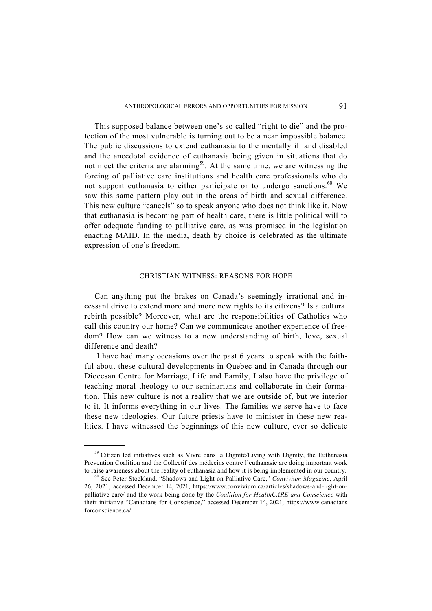This supposed balance between one's so called "right to die" and the protection of the most vulnerable is turning out to be a near impossible balance. The public discussions to extend euthanasia to the mentally ill and disabled and the anecdotal evidence of euthanasia being given in situations that do not meet the criteria are alarming<sup>59</sup>. At the same time, we are witnessing the forcing of palliative care institutions and health care professionals who do not support euthanasia to either participate or to undergo sanctions.<sup>60</sup> We saw this same pattern play out in the areas of birth and sexual difference. This new culture "cancels" so to speak anyone who does not think like it. Now that euthanasia is becoming part of health care, there is little political will to offer adequate funding to palliative care, as was promised in the legislation enacting MAID. In the media, death by choice is celebrated as the ultimate expression of one's freedom.

# CHRISTIAN WITNESS: REASONS FOR HOPE

Can anything put the brakes on Canada's seemingly irrational and incessant drive to extend more and more new rights to its citizens? Is a cultural rebirth possible? Moreover, what are the responsibilities of Catholics who call this country our home? Can we communicate another experience of freedom? How can we witness to a new understanding of birth, love, sexual difference and death?

 I have had many occasions over the past 6 years to speak with the faithful about these cultural developments in Quebec and in Canada through our Diocesan Centre for Marriage, Life and Family, I also have the privilege of teaching moral theology to our seminarians and collaborate in their formation. This new culture is not a reality that we are outside of, but we interior to it. It informs everything in our lives. The families we serve have to face these new ideologies. Our future priests have to minister in these new realities. I have witnessed the beginnings of this new culture, ever so delicate

<sup>&</sup>lt;sup>59</sup> Citizen led initiatives such as Vivre dans la Dignité/Living with Dignity, the Euthanasia Prevention Coalition and the Collectif des médecins contre l'euthanasie are doing important work to raise awareness about the reality of euthanasia and how it is being implemented in our country. 60 See Peter Stockland, "Shadows and Light on Palliative Care," *Convivium Magazine*, April

<sup>26, 2021,</sup> accessed December 14, 2021, https://www.convivium.ca/articles/shadows-and-light-onpalliative-care/ and the work being done by the *Coalition for HealthCARE and Conscience* with their initiative "Canadians for Conscience," accessed December 14, 2021, https://www.canadians forconscience.ca/.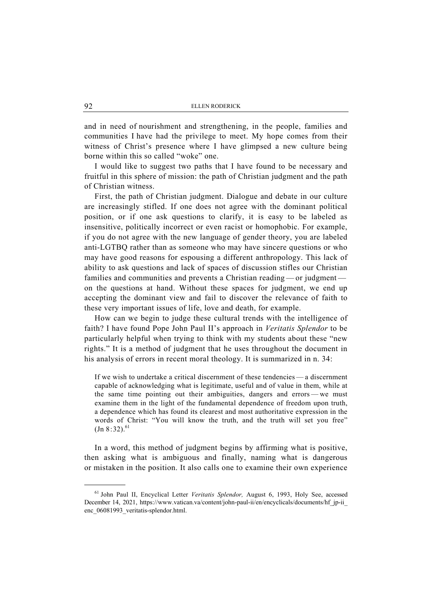and in need of nourishment and strengthening, in the people, families and communities I have had the privilege to meet. My hope comes from their witness of Christ's presence where I have glimpsed a new culture being borne within this so called "woke" one.

I would like to suggest two paths that I have found to be necessary and fruitful in this sphere of mission: the path of Christian judgment and the path of Christian witness.

First, the path of Christian judgment. Dialogue and debate in our culture are increasingly stifled. If one does not agree with the dominant political position, or if one ask questions to clarify, it is easy to be labeled as insensitive, politically incorrect or even racist or homophobic. For example, if you do not agree with the new language of gender theory, you are labeled anti-LGTBQ rather than as someone who may have sincere questions or who may have good reasons for espousing a different anthropology. This lack of ability to ask questions and lack of spaces of discussion stifles our Christian families and communities and prevents a Christian reading — or judgment on the questions at hand. Without these spaces for judgment, we end up accepting the dominant view and fail to discover the relevance of faith to these very important issues of life, love and death, for example.

How can we begin to judge these cultural trends with the intelligence of faith? I have found Pope John Paul II's approach in *Veritatis Splendor* to be particularly helpful when trying to think with my students about these "new rights." It is a method of judgment that he uses throughout the document in his analysis of errors in recent moral theology. It is summarized in n. 34:

If we wish to undertake a critical discernment of these tendencies — a discernment capable of acknowledging what is legitimate, useful and of value in them, while at the same time pointing out their ambiguities, dangers and errors — we must examine them in the light of the fundamental dependence of freedom upon truth, a dependence which has found its clearest and most authoritative expression in the words of Christ: "You will know the truth, and the truth will set you free"  $\left( \text{Jn } 8:32 \right)$ .<sup>61</sup>

In a word, this method of judgment begins by affirming what is positive, then asking what is ambiguous and finally, naming what is dangerous or mistaken in the position. It also calls one to examine their own experience

<sup>61</sup> John Paul II, Encyclical Letter *Veritatis Splendor,* August 6, 1993, Holy See, accessed December 14, 2021, https://www.vatican.va/content/john-paul-ii/en/encyclicals/documents/hf\_jp-ii\_ enc\_06081993\_veritatis-splendor.html.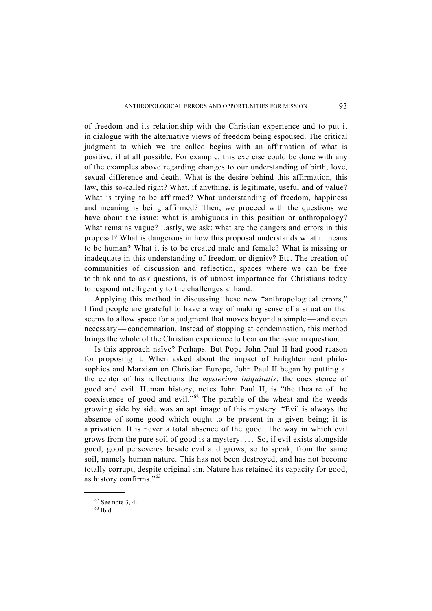of freedom and its relationship with the Christian experience and to put it in dialogue with the alternative views of freedom being espoused. The critical judgment to which we are called begins with an affirmation of what is positive, if at all possible. For example, this exercise could be done with any of the examples above regarding changes to our understanding of birth, love, sexual difference and death. What is the desire behind this affirmation, this law, this so-called right? What, if anything, is legitimate, useful and of value? What is trying to be affirmed? What understanding of freedom, happiness and meaning is being affirmed? Then, we proceed with the questions we have about the issue: what is ambiguous in this position or anthropology? What remains vague? Lastly, we ask: what are the dangers and errors in this proposal? What is dangerous in how this proposal understands what it means to be human? What it is to be created male and female? What is missing or inadequate in this understanding of freedom or dignity? Etc. The creation of communities of discussion and reflection, spaces where we can be free to think and to ask questions, is of utmost importance for Christians today to respond intelligently to the challenges at hand.

Applying this method in discussing these new "anthropological errors," I find people are grateful to have a way of making sense of a situation that seems to allow space for a judgment that moves beyond a simple — and even necessary — condemnation. Instead of stopping at condemnation, this method brings the whole of the Christian experience to bear on the issue in question.

Is this approach naïve? Perhaps. But Pope John Paul II had good reason for proposing it. When asked about the impact of Enlightenment philosophies and Marxism on Christian Europe, John Paul II began by putting at the center of his reflections the *mysterium iniquitatis*: the coexistence of good and evil. Human history, notes John Paul II, is "the theatre of the coexistence of good and evil."62 The parable of the wheat and the weeds growing side by side was an apt image of this mystery. "Evil is always the absence of some good which ought to be present in a given being; it is a privation. It is never a total absence of the good. The way in which evil grows from the pure soil of good is a mystery. . . . So, if evil exists alongside good, good perseveres beside evil and grows, so to speak, from the same soil, namely human nature. This has not been destroyed, and has not become totally corrupt, despite original sin. Nature has retained its capacity for good, as history confirms."<sup>63</sup>

 $62$  See note 3, 4.

 $63$  Ibid.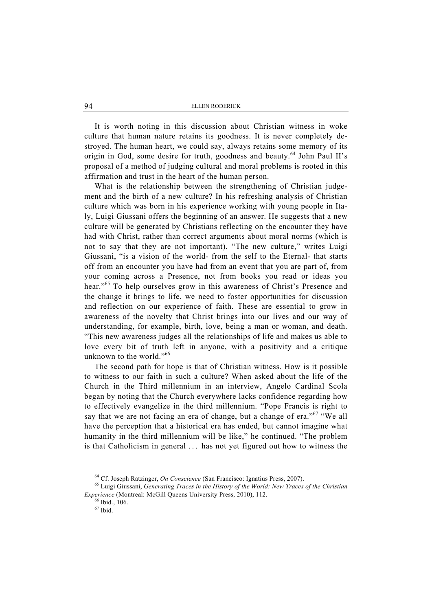It is worth noting in this discussion about Christian witness in woke culture that human nature retains its goodness. It is never completely destroyed. The human heart, we could say, always retains some memory of its origin in God, some desire for truth, goodness and beauty.<sup>64</sup> John Paul II's proposal of a method of judging cultural and moral problems is rooted in this affirmation and trust in the heart of the human person.

What is the relationship between the strengthening of Christian judgement and the birth of a new culture? In his refreshing analysis of Christian culture which was born in his experience working with young people in Italy, Luigi Giussani offers the beginning of an answer. He suggests that a new culture will be generated by Christians reflecting on the encounter they have had with Christ, rather than correct arguments about moral norms (which is not to say that they are not important). "The new culture," writes Luigi Giussani, "is a vision of the world- from the self to the Eternal- that starts off from an encounter you have had from an event that you are part of, from your coming across a Presence, not from books you read or ideas you hear."<sup>65</sup> To help ourselves grow in this awareness of Christ's Presence and the change it brings to life, we need to foster opportunities for discussion and reflection on our experience of faith. These are essential to grow in awareness of the novelty that Christ brings into our lives and our way of understanding, for example, birth, love, being a man or woman, and death. "This new awareness judges all the relationships of life and makes us able to love every bit of truth left in anyone, with a positivity and a critique unknown to the world."<sup>66</sup>

The second path for hope is that of Christian witness. How is it possible to witness to our faith in such a culture? When asked about the life of the Church in the Third millennium in an interview, Angelo Cardinal Scola began by noting that the Church everywhere lacks confidence regarding how to effectively evangelize in the third millennium. "Pope Francis is right to say that we are not facing an era of change, but a change of era."<sup>67</sup> "We all have the perception that a historical era has ended, but cannot imagine what humanity in the third millennium will be like," he continued. "The problem is that Catholicism in general . . . has not yet figured out how to witness the

 <sup>64</sup> Cf. Joseph Ratzinger, *On Conscience* (San Francisco: Ignatius Press, 2007). 65 Luigi Giussani, *Generating Traces in the History of the World: New Traces of the Christian Experience* (Montreal: McGill Queens University Press, 2010), 112. 66 Ibid., 106.

 $67$  Ibid.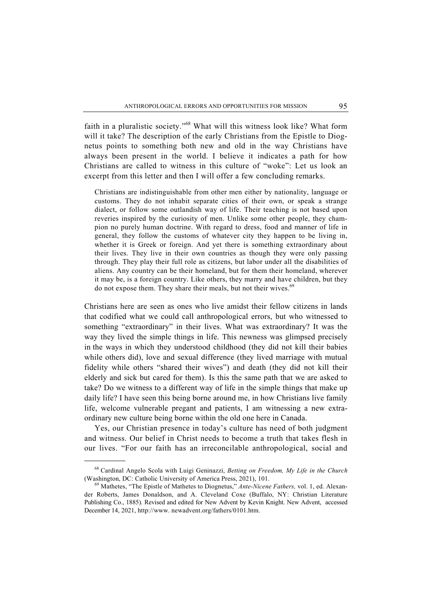faith in a pluralistic society."68 What will this witness look like? What form will it take? The description of the early Christians from the Epistle to Diognetus points to something both new and old in the way Christians have always been present in the world. I believe it indicates a path for how Christians are called to witness in this culture of "woke": Let us look an excerpt from this letter and then I will offer a few concluding remarks.

Christians are indistinguishable from other men either by nationality, language or customs. They do not inhabit separate cities of their own, or speak a strange dialect, or follow some outlandish way of life. Their teaching is not based upon reveries inspired by the curiosity of men. Unlike some other people, they champion no purely human doctrine. With regard to dress, food and manner of life in general, they follow the customs of whatever city they happen to be living in, whether it is Greek or foreign. And yet there is something extraordinary about their lives. They live in their own countries as though they were only passing through. They play their full role as citizens, but labor under all the disabilities of aliens. Any country can be their homeland, but for them their homeland, wherever it may be, is a foreign country. Like others, they marry and have children, but they do not expose them. They share their meals, but not their wives.<sup>69</sup>

Christians here are seen as ones who live amidst their fellow citizens in lands that codified what we could call anthropological errors, but who witnessed to something "extraordinary" in their lives. What was extraordinary? It was the way they lived the simple things in life. This newness was glimpsed precisely in the ways in which they understood childhood (they did not kill their babies while others did), love and sexual difference (they lived marriage with mutual fidelity while others "shared their wives") and death (they did not kill their elderly and sick but cared for them). Is this the same path that we are asked to take? Do we witness to a different way of life in the simple things that make up daily life? I have seen this being borne around me, in how Christians live family life, welcome vulnerable pregant and patients, I am witnessing a new extraordinary new culture being borne within the old one here in Canada.

Yes, our Christian presence in today's culture has need of both judgment and witness. Our belief in Christ needs to become a truth that takes flesh in our lives. "For our faith has an irreconcilable anthropological, social and

<sup>68</sup> Cardinal Angelo Scola with Luigi Geninazzi, *Betting on Freedom, My Life in the Church* (Washington, DC: Catholic University of America Press, 2021), 101. 69 Mathetes, "The Epistle of Mathetes to Diognetus," *Ante-Nicene Fathers,* vol. 1, ed. Alexan-

der Roberts, James Donaldson, and A. Cleveland Coxe (Buffalo, NY: Christian Literature Publishing Co., 1885). Revised and edited for New Advent by Kevin Knight. New Advent, accessed December 14, 2021, http://www. newadvent.org/fathers/0101.htm.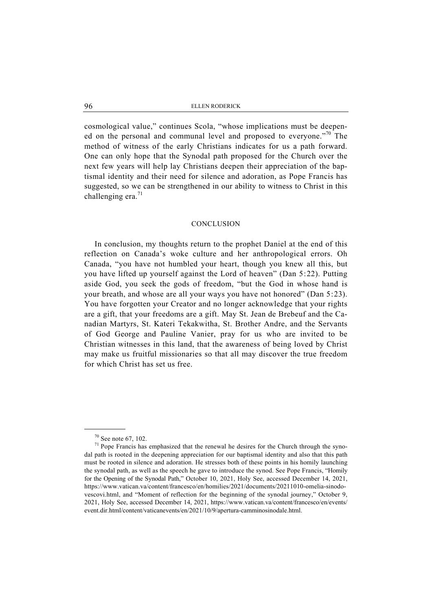cosmological value," continues Scola, "whose implications must be deepened on the personal and communal level and proposed to everyone."<sup>70</sup> The method of witness of the early Christians indicates for us a path forward. One can only hope that the Synodal path proposed for the Church over the next few years will help lay Christians deepen their appreciation of the baptismal identity and their need for silence and adoration, as Pope Francis has suggested, so we can be strengthened in our ability to witness to Christ in this challenging era. $71$ 

# **CONCLUSION**

In conclusion, my thoughts return to the prophet Daniel at the end of this reflection on Canada's woke culture and her anthropological errors. Oh Canada, "you have not humbled your heart, though you knew all this, but you have lifted up yourself against the Lord of heaven" (Dan 5:22). Putting aside God, you seek the gods of freedom, "but the God in whose hand is your breath, and whose are all your ways you have not honored" (Dan 5:23). You have forgotten your Creator and no longer acknowledge that your rights are a gift, that your freedoms are a gift. May St. Jean de Brebeuf and the Canadian Martyrs, St. Kateri Tekakwitha, St. Brother Andre, and the Servants of God George and Pauline Vanier, pray for us who are invited to be Christian witnesses in this land, that the awareness of being loved by Christ may make us fruitful missionaries so that all may discover the true freedom for which Christ has set us free.

 $70$  See note 67, 102.

<sup>71</sup> Pope Francis has emphasized that the renewal he desires for the Church through the synodal path is rooted in the deepening appreciation for our baptismal identity and also that this path must be rooted in silence and adoration. He stresses both of these points in his homily launching the synodal path, as well as the speech he gave to introduce the synod. See Pope Francis, "Homily for the Opening of the Synodal Path," October 10, 2021, Holy See, accessed December 14, 2021, https://www.vatican.va/content/francesco/en/homilies/2021/documents/20211010-omelia-sinodovescovi.html, and "Moment of reflection for the beginning of the synodal journey," October 9, 2021, Holy See, accessed December 14, 2021, https://www.vatican.va/content/francesco/en/events/ event.dir.html/content/vaticanevents/en/2021/10/9/apertura-camminosinodale.html.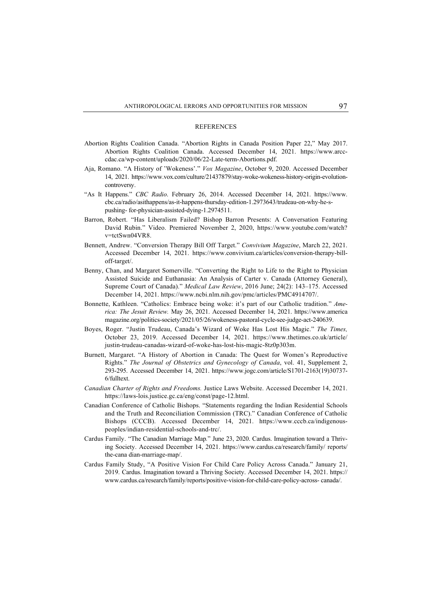#### **REFERENCES**

- Abortion Rights Coalition Canada. "Abortion Rights in Canada Position Paper 22," May 2017. Abortion Rights Coalition Canada. Accessed December 14, 2021. https://www.arcccdac.ca/wp-content/uploads/2020/06/22-Late-term-Abortions.pdf.
- Aja, Romano. "A History of 'Wokeness'." *Vox Magazine*, October 9, 2020. Accessed December 14, 2021. https://www.vox.com/culture/21437879/stay-woke-wokeness-history-origin-evolutioncontroversy.
- "As It Happens." *CBC Radio*. February 26, 2014. Accessed December 14, 2021. https://www. cbc.ca/radio/asithappens/as-it-happens-thursday-edition-1.2973643/trudeau-on-why-he-spushing- for-physician-assisted-dying-1.2974511.
- Barron, Robert. "Has Liberalism Failed? Bishop Barron Presents: A Conversation Featuring David Rubin." Video. Premiered November 2, 2020, https://www.youtube.com/watch? v=tctSwn04VR8.
- Bennett, Andrew. "Conversion Therapy Bill Off Target." *Convivium Magazine*, March 22, 2021. Accessed December 14, 2021. https://www.convivium.ca/articles/conversion-therapy-billoff-target/.
- Benny, Chan, and Margaret Somerville. "Converting the Right to Life to the Right to Physician Assisted Suicide and Euthanasia: An Analysis of Carter v. Canada (Attorney General), Supreme Court of Canada)." *Medical Law Review*, 2016 June; 24(2): 143–175. Accessed December 14, 2021. https://www.ncbi.nlm.nih.gov/pmc/articles/PMC4914707/.
- Bonnette, Kathleen. "Catholics: Embrace being woke: it's part of our Catholic tradition." *America: The Jesuit Review.* May 26, 2021. Accessed December 14, 2021. https://www.america magazine.org/politics-society/2021/05/26/wokeness-pastoral-cycle-see-judge-act-240639.
- Boyes, Roger. "Justin Trudeau, Canada's Wizard of Woke Has Lost His Magic." *The Times,* October 23, 2019. Accessed December 14, 2021. https://www.thetimes.co.uk/article/ justin-trudeau-canadas-wizard-of-woke-has-lost-his-magic-8tz0p303m.
- Burnett, Margaret. "A History of Abortion in Canada: The Quest for Women's Reproductive Rights." *The Journal of Obstetrics and Gynecology of Canada*, vol. 41, Supplement 2, 293-295. Accessed December 14, 2021. https://www.jogc.com/article/S1701-2163(19)30737- 6/fulltext.
- *Canadian Charter of Rights and Freedoms.* Justice Laws Website. Accessed December 14, 2021. https://laws-lois.justice.gc.ca/eng/const/page-12.html.
- Canadian Conference of Catholic Bishops. "Statements regarding the Indian Residential Schools and the Truth and Reconciliation Commission (TRC)." Canadian Conference of Catholic Bishops (CCCB). Accessed December 14, 2021. https://www.cccb.ca/indigenouspeoples/indian-residential-schools-and-trc/.
- Cardus Family. "The Canadian Marriage Map*.*" June 23, 2020. Cardus. Imagination toward a Thriving Society. Accessed December 14, 2021. https://www.cardus.ca/research/family/ reports/ the-cana dian-marriage-map/.
- Cardus Family Study, "A Positive Vision For Child Care Policy Across Canada." January 21, 2019. Cardus. Imagination toward a Thriving Society. Accessed December 14, 2021. https:// www.cardus.ca/research/family/reports/positive-vision-for-child-care-policy-across- canada/.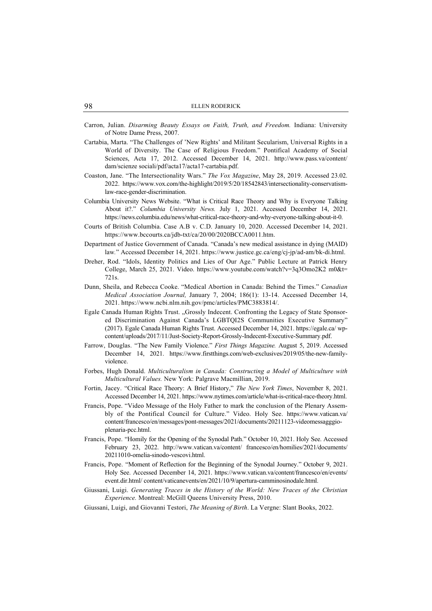- Carron, Julian. *Disarming Beauty Essays on Faith, Truth, and Freedom.* Indiana: University of Notre Dame Press, 2007.
- Cartabia, Marta. "The Challenges of 'New Rights' and Militant Secularism, Universal Rights in a World of Diversity. The Case of Religious Freedom." Pontifical Academy of Social Sciences, Acta 17, 2012. Accessed December 14, 2021. http://www.pass.va/content/ dam/scienze sociali/pdf/acta17/acta17-cartabia.pdf.
- Coaston, Jane. "The Intersectionality Wars." *The Vox Magazine*, May 28, 2019. Accessed 23.02. 2022. https://www.vox.com/the-highlight/2019/5/20/18542843/intersectionality-conservatismlaw-race-gender-discrimination.
- Columbia University News Website. "What is Critical Race Theory and Why is Everyone Talking About it?." *Columbia University News.* July 1, 2021. Accessed December 14, 2021. https://news.columbia.edu/news/what-critical-race-theory-and-why-everyone-talking-about-it-0.
- Courts of British Columbia. Case A.B v. C.D. January 10, 2020. Accessed December 14, 2021. https://www.bccourts.ca/jdb-txt/ca/20/00/2020BCCA0011.htm.
- Department of Justice Government of Canada. "Canada's new medical assistance in dying (MAID) law*.*" Accessed December 14, 2021. https://www.justice.gc.ca/eng/cj-jp/ad-am/bk-di.html.
- Dreher, Rod. "Idols, Identity Politics and Lies of Our Age." Public Lecture at Patrick Henry College, March 25, 2021. Video. https://www.youtube.com/watch?v=3q3Omo2K2 m0&t= 721s.
- Dunn, Sheila, and Rebecca Cooke. "Medical Abortion in Canada: Behind the Times." *Canadian Medical Association Journal,* January 7, 2004; 186(1): 13-14. Accessed December 14, 2021. https://www.ncbi.nlm.nih.gov/pmc/articles/PMC3883814/.
- Egale Canada Human Rights Trust. "Grossly Indecent. Confronting the Legacy of State Sponsored Discrimination Against Canada's LGBTQI2S Communities Executive Summary" (2017). Egale Canada Human Rights Trust. Accessed December 14, 2021. https://egale.ca/ wpcontent/uploads/2017/11/Just-Society-Report-Grossly-Indecent-Executive-Summary.pdf.
- Farrow, Douglas. "The New Family Violence." *First Things Magazine.* August 5, 2019. Accessed December 14, 2021. https://www.firstthings.com/web-exclusives/2019/05/the-new-familyviolence.
- Forbes, Hugh Donald. *Multiculturalism in Canada: Constructing a Model of Multiculture with Multicultural Values.* New York: Palgrave Macmillian, 2019.
- Fortin, Jacey. "Critical Race Theory: A Brief History," *The New York Times*, November 8, 2021. Accessed December 14, 2021. https://www.nytimes.com/article/what-is-critical-race-theory.html.
- Francis, Pope. "Video Message of the Holy Father to mark the conclusion of the Plenary Assembly of the Pontifical Council for Culture." Video. Holy See. https://www.vatican.va/ content/francesco/en/messages/pont-messages/2021/documents/20211123-videomessagggioplenaria-pcc.html.
- Francis, Pope. "Homily for the Opening of the Synodal Path." October 10, 2021. Holy See. Accessed February 23, 2022. http://www.vatican.va/content/ francesco/en/homilies/2021/documents/ 20211010-omelia-sinodo-vescovi.html.
- Francis, Pope. "Moment of Reflection for the Beginning of the Synodal Journey." October 9, 2021. Holy See. Accessed December 14, 2021. https://www.vatican.va/content/francesco/en/events/ event.dir.html/ content/vaticanevents/en/2021/10/9/apertura-camminosinodale.html.
- Giussani, Luigi. *Generating Traces in the History of the World: New Traces of the Christian Experience.* Montreal: McGill Queens University Press, 2010.
- Giussani, Luigi, and Giovanni Testori, *The Meaning of Birth*. La Vergne: Slant Books, 2022.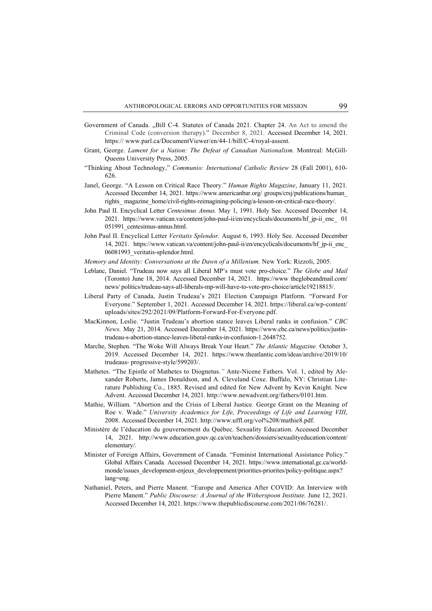- Government of Canada. "Bill C-4. Statutes of Canada 2021. Chapter 24. An Act to amend the Criminal Code (conversion therapy)." December 8, 2021. Accessed December 14, 2021. https:// www.parl.ca/DocumentViewer/en/44-1/bill/C-4/royal-assent.
- Grant, George. *Lament for a Nation: The Defeat of Canadian Nationalism.* Montreal: McGill-Queens University Press, 2005.
- "Thinking About Technology," *Communio: International Catholic Review* 28 (Fall 2001), 610- 626.
- Janel, George. "A Lesson on Critical Race Theory." *Human Rights Magazine*, January 11, 2021. Accessed December 14, 2021. https://www.americanbar.org/ groups/crsj/publications/human\_ rights\_magazine\_home/civil-rights-reimagining-policing/a-lesson-on-critical-race-theory/.
- John Paul II. Encyclical Letter *Centesimus Annus.* May 1, 1991. Holy See. Accessed December 14, 2021. https://www.vatican.va/content/john-paul-ii/en/encyclicals/documents/hf\_jp-ii\_enc\_ 01 051991\_centesimus-annus.html.
- John Paul II. Encyclical Letter *Veritatis Splendor.* August 6, 1993. Holy See. Accessed December 14, 2021. https://www.vatican.va/content/john-paul-ii/en/encyclicals/documents/hf\_jp-ii\_enc\_ 06081993\_veritatis-splendor.html.
- *Memory and Identity: Conversations at the Dawn of a Millenium. New York: Rizzoli, 2005.*
- Leblanc, Daniel. "Trudeau now says all Liberal MP's must vote pro-choice." *The Globe and Mail*  (Toronto) June 18, 2014. Accessed December 14, 2021. https://www theglobeandmail.com/ news/ politics/trudeau-says-all-liberals-mp-will-have-to-vote-pro-choice/article19218815/.
- Liberal Party of Canada, Justin Trudeau's 2021 Election Campaign Platform. "Forward For Everyone." September 1, 2021. Accessed December 14, 2021. https://liberal.ca/wp-content/ uploads/sites/292/2021/09/Platform-Forward-For-Everyone.pdf.
- MacKinnon, Leslie. "Justin Trudeau's abortion stance leaves Liberal ranks in confusion." *CBC News.* May 21, 2014. Accessed December 14, 2021. https://www.cbc.ca/news/politics/justintrudeau-s-abortion-stance-leaves-liberal-ranks-in-confusion-1.2648752.
- Marche, Stephen. "The Woke Will Always Break Your Heart." *The Atlantic Magazine.* October 3, 2019. Accessed December 14, 2021. https://www.theatlantic.com/ideas/archive/2019/10/ trudeaus- progressive-style/599203/.
- Mathetes. "The Epistle of Mathetes to Diognetus.*"* Ante-Nicene Fathers. Vol. 1, edited by Alexander Roberts, James Donaldson, and A. Cleveland Coxe. Buffalo, NY: Christian Literature Publishing Co., 1885. Revised and edited for New Advent by Kevin Knight. New Advent. Accessed December 14, 2021. http://www.newadvent.org/fathers/0101.htm.
- Mathie, William. "Abortion and the Crisis of Liberal Justice. George Grant on the Meaning of Roe v. Wade." *University Academics for Life, Proceedings of Life and Learning VIII*, 2008. Accessed December 14, 2021. http://www.uffl.org/vol%208/mathie8.pdf.
- Ministère de l'éducation du gouvernement du Québec. Sexuality Education. Accessed December 14, 2021. http://www.education.gouv.qc.ca/en/teachers/dossiers/sexualityeducation/content/ elementary/.
- Minister of Foreign Affairs, Government of Canada. "Feminist International Assistance Policy." Global Affairs Canada*.* Accessed December 14, 2021. https://www.international.gc.ca/worldmonde/issues\_development-enjeux\_developpement/priorities-priorites/policy-politique.aspx? lang=eng.
- Nathaniel, Peters, and Pierre Manent. "Europe and America After COVID: An Interview with Pierre Manent." *Public Discourse: A Journal of the Witherspoon Institute.* June 12, 2021. Accessed December 14, 2021. https://www.thepublicdiscourse.com/2021/06/76281/.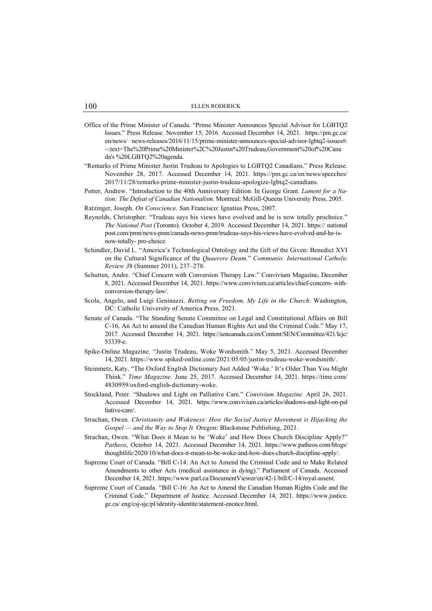- Office of the Prime Minister of Canada. "Prime Minister Announces Special Advisor for LGBTQ2 Issues." Press Release. November 15, 2016. Accessed December 14, 2021. https://pm.gc.ca/ en/news/ news-releases/2016/11/15/prime-minister-announces-special-advisor-lgbtq2-issues#: ~:text=The%20Prime%20Minister%2C%20Justin%20Trudeau,Government%20of%20Cana da's %20LGBTQ2%20agenda.
- "Remarks of Prime Minister Justin Trudeau to Apologies to LGBTQ2 Canadians." Press Release. November 28, 2017. Accessed December 14, 2021. https://pm.gc.ca/en/news/speeches/ 2017/11/28/remarks-prime-minister-justin-trudeau-apologize-lgbtq2-canadians.
- Potter, Andrew. "Introduction to the 40th Anniversary Edition. In George Grant. *Lament for a Nation: The Defeat of Canadian Nationalism*. Montreal: McGill-Queens University Press, 2005.
- Ratzinger, Joseph. *On Conscience.* San Francisco: Ignatius Press, 2007.
- Reynolds, Christopher. "Trudeau says his views have evolved and he is now totally prochoice." *The National Post* (Toronto). October 4, 2019. Accessed December 14, 2021. https:// national post.com/pmn/news-pmn/canada-news-pmn/trudeau-says-his-views-have-evolved-and-he-isnow-totally- pro-choice.
- Schindler, David L. "America's Technological Ontology and the Gift of the Given: Benedict XVI on the Cultural Significance of the *Quaerere Deum.*" *Communio: International Catholic Review 3*8 (Summer 2011), 237–278.
- Schutten, Andre. "Chief Concern with Conversion Therapy Law." Convivium Magazine, December 8, 2021. Accessed December 14, 2021. https://www.convivium.ca/articles/chief-concern- withconversion-therapy-law/.
- Scola, Angelo, and Luigi Geninazzi. *Betting on Freedom, My Life in the Church.* Washington, DC: Catholic University of America Press, 2021.
- Senate of Canada. "The Standing Senate Committee on Legal and Constitutional Affairs on Bill C-16, An Act to amend the Canadian Human Rights Act and the Criminal Code." May 17, 2017. Accessed December 14, 2021. https://sencanada.ca/en/Content/SEN/Committee/421/lcjc/ 53339-e.
- Spike-Online Magazine. "Justin Trudeau, Woke Wordsmith." May 5, 2021. Accessed December 14, 2021. https://www.spiked-online.com/2021/05/05/justin-trudeau-woke-wordsmith/.
- Steinmetz, Katy. "The Oxford English Dictionary Just Added 'Woke.' It's Older Than You Might Think." *Time Magazine.* June 25, 2017. Accessed December 14, 2021. https://time.com/ 4830959/oxford-english-dictionary-woke.
- Stockland, Peter. "Shadows and Light on Palliative Care." *Convivium Magazine.* April 26, 2021. Accessed December 14, 2021. https://www.convivium.ca/articles/shadows-and-light-on-pal liative-care/.
- Strachan, Owen. *Christianity and Wokeness: How the Social Justice Movement is Hijacking the Gospel — and the Way to Stop It.* Oregon: Blackstone Publishing, 2021.
- Strachan, Owen. "What Does it Mean to be 'Woke' and How Does Church Discipline Apply?" *Patheos*, October 14, 2021. Accessed December 14, 2021. https://www.patheos.com/blogs/ thoughtlife/2020/10/what-does-it-mean-to-be-woke-and-how-does-church-discipline-apply/.
- Supreme Court of Canada. "Bill C-14: An Act to Amend the Criminal Code and to Make Related Amendments to other Acts (medical assistance in dying)." Parliament of Canada. Accessed December 14, 2021. https://www.parl.ca/DocumentViewer/en/42-1/bill/C-14/royal-assent.
- Supreme Court of Canada. "Bill C-16: An Act to Amend the Canadian Human Rights Code and the Criminal Code." Department of Justice. Accessed December 14, 2021. https://www.justice. gc.ca/ eng/csj-sjc/pl/identity-identite/statement-enonce.html.